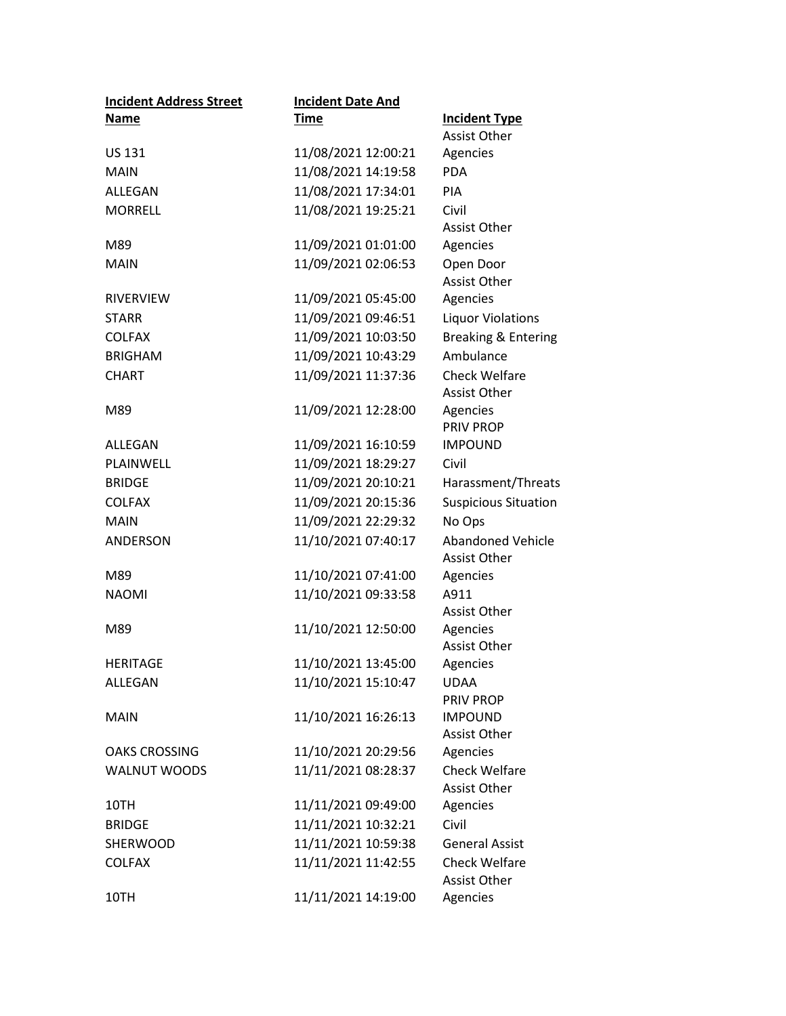| <b>Incident Address Street</b> | <b>Incident Date And</b> |                             |
|--------------------------------|--------------------------|-----------------------------|
| Name                           | <b>Time</b>              | <b>Incident Type</b>        |
|                                |                          | <b>Assist Other</b>         |
| <b>US 131</b>                  | 11/08/2021 12:00:21      | Agencies                    |
| <b>MAIN</b>                    | 11/08/2021 14:19:58      | <b>PDA</b>                  |
| ALLEGAN                        | 11/08/2021 17:34:01      | <b>PIA</b>                  |
| <b>MORRELL</b>                 | 11/08/2021 19:25:21      | Civil                       |
|                                |                          | <b>Assist Other</b>         |
| M89                            | 11/09/2021 01:01:00      | Agencies                    |
| <b>MAIN</b>                    | 11/09/2021 02:06:53      | Open Door                   |
|                                |                          | <b>Assist Other</b>         |
| <b>RIVERVIEW</b>               | 11/09/2021 05:45:00      | Agencies                    |
| <b>STARR</b>                   | 11/09/2021 09:46:51      | <b>Liquor Violations</b>    |
| <b>COLFAX</b>                  | 11/09/2021 10:03:50      | Breaking & Entering         |
| <b>BRIGHAM</b>                 | 11/09/2021 10:43:29      | Ambulance                   |
| <b>CHART</b>                   | 11/09/2021 11:37:36      | <b>Check Welfare</b>        |
|                                |                          | <b>Assist Other</b>         |
| M89                            | 11/09/2021 12:28:00      | Agencies                    |
|                                |                          | <b>PRIV PROP</b>            |
| ALLEGAN                        | 11/09/2021 16:10:59      | <b>IMPOUND</b>              |
| PLAINWELL                      | 11/09/2021 18:29:27      | Civil                       |
| <b>BRIDGE</b>                  | 11/09/2021 20:10:21      | Harassment/Threats          |
| <b>COLFAX</b>                  | 11/09/2021 20:15:36      | <b>Suspicious Situation</b> |
| <b>MAIN</b>                    | 11/09/2021 22:29:32      | No Ops                      |
| ANDERSON                       | 11/10/2021 07:40:17      | <b>Abandoned Vehicle</b>    |
|                                |                          | Assist Other                |
| M89                            | 11/10/2021 07:41:00      | Agencies                    |
| <b>NAOMI</b>                   | 11/10/2021 09:33:58      | A911                        |
|                                |                          | Assist Other                |
| M89                            | 11/10/2021 12:50:00      | Agencies                    |
|                                |                          | <b>Assist Other</b>         |
| <b>HERITAGE</b>                | 11/10/2021 13:45:00      | Agencies                    |
| ALLEGAN                        | 11/10/2021 15:10:47      | <b>UDAA</b>                 |
| <b>MAIN</b>                    | 11/10/2021 16:26:13      | PRIV PROP<br><b>IMPOUND</b> |
|                                |                          | <b>Assist Other</b>         |
| <b>OAKS CROSSING</b>           | 11/10/2021 20:29:56      | Agencies                    |
| <b>WALNUT WOODS</b>            | 11/11/2021 08:28:37      | <b>Check Welfare</b>        |
|                                |                          | Assist Other                |
| 10TH                           | 11/11/2021 09:49:00      | Agencies                    |
| <b>BRIDGE</b>                  | 11/11/2021 10:32:21      | Civil                       |
| SHERWOOD                       | 11/11/2021 10:59:38      | <b>General Assist</b>       |
| <b>COLFAX</b>                  | 11/11/2021 11:42:55      | <b>Check Welfare</b>        |
|                                |                          | Assist Other                |
| 10TH                           | 11/11/2021 14:19:00      | Agencies                    |
|                                |                          |                             |